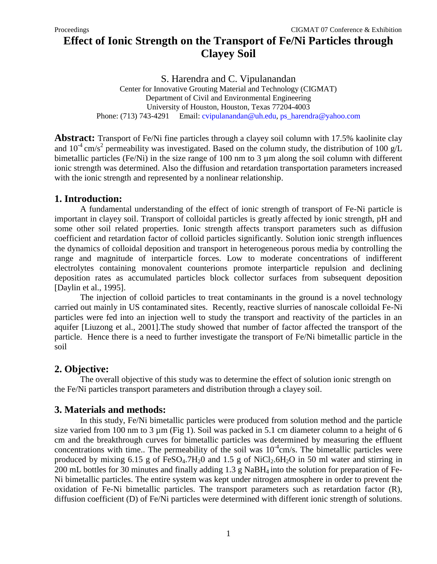# **Effect of Ionic Strength on the Transport of Fe/Ni Particles through Clayey Soil**

S. Harendra and C. Vipulanandan

Center for Innovative Grouting Material and Technology (CIGMAT) Department of Civil and Environmental Engineering University of Houston, Houston, Texas 77204-4003 Phone: (713) 743-4291 Email: [cvipulanandan@uh.edu,](mailto:cvipulanandan@uh.edu) [ps\\_harendra@yahoo.com](mailto:ps_harendra@yahoo.com)

**Abstract:** Transport of Fe/Ni fine particles through a clayey soil column with 17.5% kaolinite clay and  $10^{-4}$  cm/s<sup>2</sup> permeability was investigated. Based on the column study, the distribution of 100 g/L bimetallic particles (Fe/Ni) in the size range of 100 nm to 3 µm along the soil column with different ionic strength was determined. Also the diffusion and retardation transportation parameters increased with the ionic strength and represented by a nonlinear relationship.

### **1. Introduction:**

A fundamental understanding of the effect of ionic strength of transport of Fe-Ni particle is important in clayey soil. Transport of colloidal particles is greatly affected by ionic strength, pH and some other soil related properties. Ionic strength affects transport parameters such as diffusion coefficient and retardation factor of colloid particles significantly. Solution ionic strength influences the dynamics of colloidal deposition and transport in heterogeneous porous media by controlling the range and magnitude of interparticle forces. Low to moderate concentrations of indifferent electrolytes containing monovalent counterions promote interparticle repulsion and declining deposition rates as accumulated particles block collector surfaces from subsequent deposition [Daylin et al., 1995].

The injection of colloid particles to treat contaminants in the ground is a novel technology carried out mainly in US contaminated sites. Recently, reactive slurries of nanoscale colloidal Fe-Ni particles were fed into an injection well to study the transport and reactivity of the particles in an aquifer [Liuzong et al., 2001].The study showed that number of factor affected the transport of the particle. Hence there is a need to further investigate the transport of Fe/Ni bimetallic particle in the soil

## **2. Objective:**

The overall objective of this study was to determine the effect of solution ionic strength on the Fe/Ni particles transport parameters and distribution through a clayey soil.

## **3. Materials and methods:**

In this study, Fe/Ni bimetallic particles were produced from solution method and the particle size varied from 100 nm to 3  $\mu$ m (Fig 1). Soil was packed in 5.1 cm diameter column to a height of 6 cm and the breakthrough curves for bimetallic particles was determined by measuring the effluent concentrations with time.. The permeability of the soil was  $10^{-4}$ cm/s. The bimetallic particles were produced by mixing 6.15 g of  $FeSO<sub>4</sub>$ .7H<sub>2</sub>O and 1.5 g of NiCl<sub>2</sub>.6H<sub>2</sub>O in 50 ml water and stirring in 200 mL bottles for 30 minutes and finally adding 1.3 g NaBH4 into the solution for preparation of Fe-Ni bimetallic particles. The entire system was kept under nitrogen atmosphere in order to prevent the oxidation of Fe-Ni bimetallic particles. The transport parameters such as retardation factor (R), diffusion coefficient (D) of Fe/Ni particles were determined with different ionic strength of solutions.